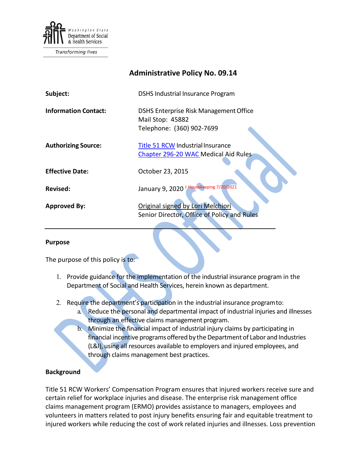

Transforming lives

# **Administrative Policy No. 09.14**

| Subject:                    | <b>DSHS Industrial Insurance Program</b>                                                |
|-----------------------------|-----------------------------------------------------------------------------------------|
| <b>Information Contact:</b> | DSHS Enterprise Risk Management Office<br>Mail Stop: 45882<br>Telephone: (360) 902-7699 |
| <b>Authorizing Source:</b>  | Title 51 RCW Industrial Insurance<br>Chapter 296-20 WAC Medical Aid Rules               |
| <b>Effective Date:</b>      | October 23, 2015                                                                        |
| Revised:                    | January 9, 2020 i Housekeeping 7/20/2021                                                |
| <b>Approved By:</b>         | Original signed by Lori Melchiori<br>Senior Director, Office of Policy and Rules        |

#### **Purpose**

The purpose of this policy is to:

- 1. Provide guidance for the implementation of the industrial insurance program in the Department of Social and Health Services, herein known as department.
- 2. Require the department's participation in the industrial insurance programto:
	- a. Reduce the personal and departmental impact of industrial injuries and illnesses through an effective claims management program.
	- b. Minimize the financial impact of industrial injury claims by participating in financial incentive programs offered by the Department of Labor and Industries (L&I), using all resources available to employers and injured employees, and through claims management best practices.

#### **Background**

Title 51 RCW Workers' Compensation Program ensures that injured workers receive sure and certain relief for workplace injuries and disease. The enterprise risk management office claims management program (ERMO) provides assistance to managers, employees and volunteers in matters related to post injury benefits ensuring fair and equitable treatment to injured workers while reducing the cost of work related injuries and illnesses. Loss prevention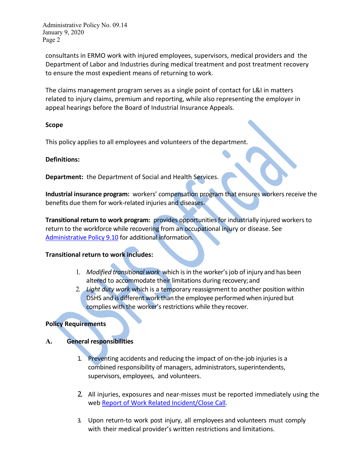Administrative Policy No. 09.14 January 9, 2020 Page 2

consultants in ERMO work with injured employees, supervisors, medical providers and the Department of Labor and Industries during medical treatment and post treatment recovery to ensure the most expedient means of returning to work.

The claims management program serves as a single point of contact for L&I in matters related to injury claims, premium and reporting, while also representing the employer in appeal hearings before the Board of Industrial Insurance Appeals.

#### **Scope**

This policy applies to all employees and volunteers of the department.

#### **Definitions:**

**Department:** the Department of Social and Health Services.

**Industrial insurance program:** workers' compensation program that ensures workers receive the benefits due them for work-related injuries and diseases.

**Transitional return to work program:** provides opportunities for industrially injured workers to return to the workforce while recovering from an occupational injury or disease. See [Administrative Policy 9.10](http://one.dshs.wa.lcl/Policies/Administrative/DSHS-AP-09-10.pdf) for additional information.

#### **Transitional return to work includes:**

- 1. *Modified transitional work* which isin the worker'sjob of injury and has been altered to accommodate their limitations during recovery; and
- 2. *Light duty work* which is a temporary reassignment to another position within DSHS and is different work than the employee performed when injured but complies with the worker's restrictions while they recover.

#### **Policy Requirements**

#### **A. General responsibilities**

- 1. Preventing accidents and reducing the impact of on-the-job injuries is a combined responsibility of managers, administrators, superintendents, supervisors, employees, and volunteers.
- 2. All injuries, exposures and near-misses must be reported immediately using the web [Report of Work Related Incident/Close Call.](https://riskmaster.dshs.wa.lcl/DSHS%20shell%20web%20form/webform/pagebuilder.aspx)
- 3. Upon return-to work post injury, all employees and volunteers must comply with their medical provider's written restrictions and limitations.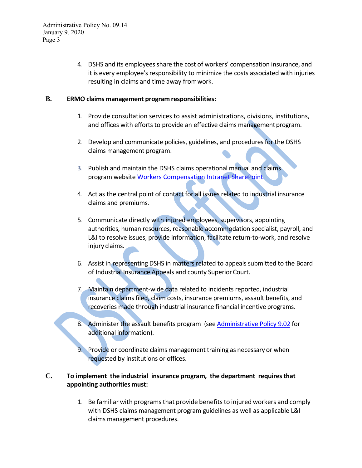4. DSHS and its employeesshare the cost of workers' compensation insurance, and it is every employee's responsibility to minimize the costs associated with injuries resulting in claims and time away fromwork.

### **B. ERMO claims management program responsibilities:**

- 1. Provide consultation services to assist administrations, divisions, institutions, and offices with efforts to provide an effective claims management program.
- 2. Develop and communicate policies, guidelines, and procedures for the DSHS claims management program.
- 3. Publish and maintain the DSHS claims operational manual and claims program website [Workers Compensation I](http://one.dshs.wa.lcl/FS/Loss/WorkersComp/Pages/default.aspx)ntranet SharePoint.
- 4. Act as the central point of contact for all issues related to industrial insurance claims and premiums.
- 5. Communicate directly with injured employees, supervisors, appointing authorities, human resources, reasonable accommodation specialist, payroll, and L&I to resolve issues, provide information, facilitate return-to-work, and resolve injury claims.
- 6. Assist in representing DSHS in matters related to appeals submitted to the Board of Industrial Insurance Appeals and county Superior Court.
- 7. Maintain department-wide data related to incidents reported, industrial insurance claims filed, claim costs, insurance premiums, assault benefits, and recoveries made through industrial insurance financial incentive programs.
- 8. Administer the assault benefits program (see [Administrative Policy 9.02](http://one.dshs.wa.lcl/Policies/Administrative/DSHS-AP-09-02.pdf) for additional information).
- Provide or coordinate claims management training as necessary or when requested by institutions or offices.

## **C. To implement the industrial insurance program, the department requires that appointing authorities must:**

1. Be familiar with programsthat provide benefitsto injured workers and comply with DSHS claims management program guidelines as well as applicable L&I claims management procedures.